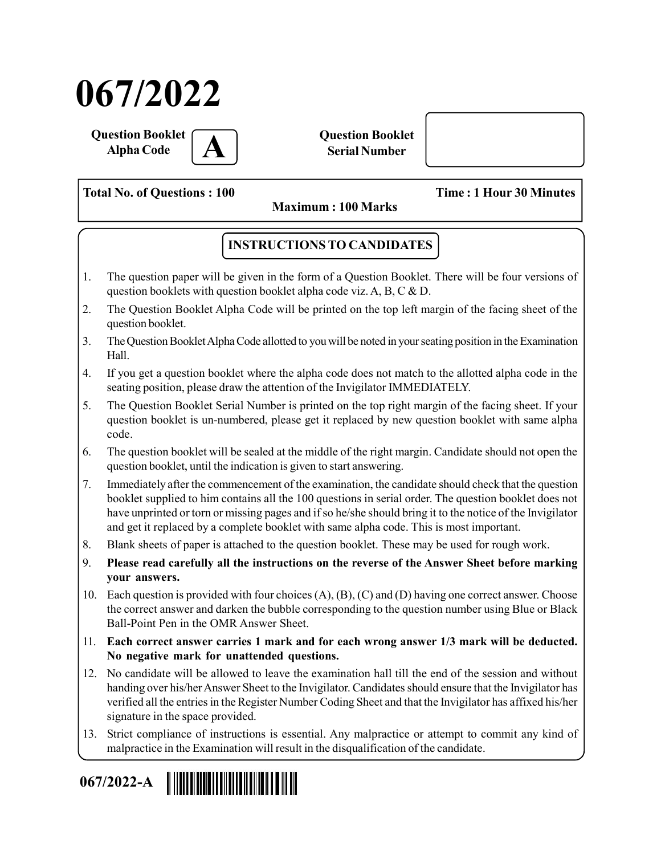# 067/2022

Question Booklet **Alpha Code** 

Question Booklet Serial Number

Total No. of Questions : 100 Time : 1 Hour 30 Minutes

Maximum : 100 Marks

# INSTRUCTIONS TO CANDIDATES

- 1. The question paper will be given in the form of a Question Booklet. There will be four versions of question booklets with question booklet alpha code viz. A, B, C & D.
- 2. The Question Booklet Alpha Code will be printed on the top left margin of the facing sheet of the question booklet.
- 3. The Question Booklet Alpha Code allotted to you will be noted in your seating position in the Examination Hall.
- 4. If you get a question booklet where the alpha code does not match to the allotted alpha code in the seating position, please draw the attention of the Invigilator IMMEDIATELY.
- 5. The Question Booklet Serial Number is printed on the top right margin of the facing sheet. If your question booklet is un-numbered, please get it replaced by new question booklet with same alpha code.
- 6. The question booklet will be sealed at the middle of the right margin. Candidate should not open the question booklet, until the indication is given to start answering.
- 7. Immediately after the commencement of the examination, the candidate should check that the question booklet supplied to him contains all the 100 questions in serial order. The question booklet does not have unprinted or torn or missing pages and if so he/she should bring it to the notice of the Invigilator and get it replaced by a complete booklet with same alpha code. This is most important.
- 8. Blank sheets of paper is attached to the question booklet. These may be used for rough work.
- 9. Please read carefully all the instructions on the reverse of the Answer Sheet before marking your answers.
- 10. Each question is provided with four choices (A), (B), (C) and (D) having one correct answer. Choose the correct answer and darken the bubble corresponding to the question number using Blue or Black Ball-Point Pen in the OMR Answer Sheet.
- 11. Each correct answer carries 1 mark and for each wrong answer 1/3 mark will be deducted. No negative mark for unattended questions.
- 12. No candidate will be allowed to leave the examination hall till the end of the session and without handing over his/her Answer Sheet to the Invigilator. Candidates should ensure that the Invigilator has verified all the entries in the Register Number Coding Sheet and that the Invigilator has affixed his/her signature in the space provided.
- 13. Strict compliance of instructions is essential. Any malpractice or attempt to commit any kind of malpractice in the Examination will result in the disqualification of the candidate.

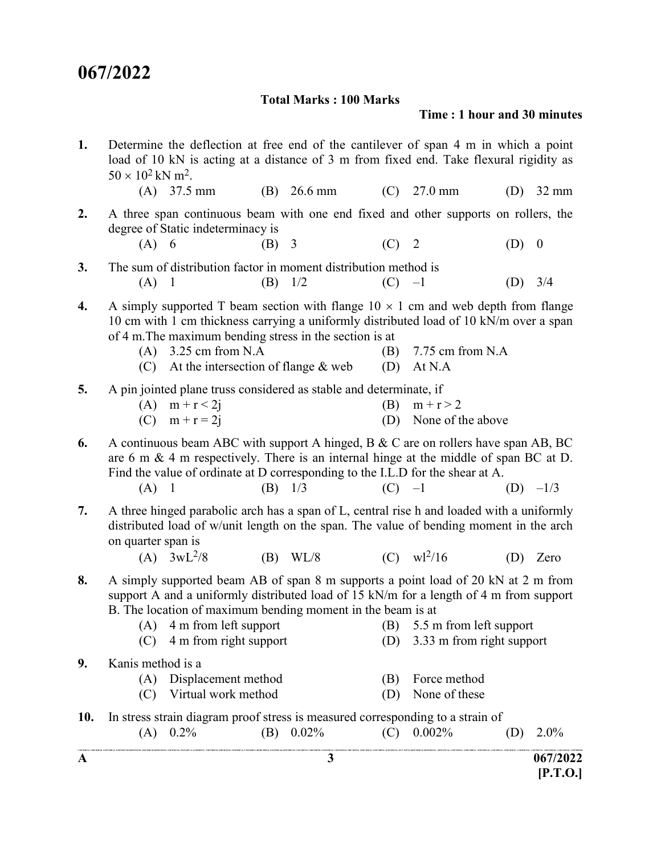## Total Marks : 100 Marks

## Time : 1 hour and 30 minutes

| $\mathbf A$ |                                      |                                                                                                                                                                                                                                                                                                                               |     | 3                     |            |                                  |                                                                                                   | 067/2022<br>$\left[ P.T.O. \right]$ |
|-------------|--------------------------------------|-------------------------------------------------------------------------------------------------------------------------------------------------------------------------------------------------------------------------------------------------------------------------------------------------------------------------------|-----|-----------------------|------------|----------------------------------|---------------------------------------------------------------------------------------------------|-------------------------------------|
| 10.         |                                      | In stress strain diagram proof stress is measured corresponding to a strain of<br>$(A)$ 0.2%                                                                                                                                                                                                                                  |     | (B) $0.02\%$          |            | $(C)$ 0.002\%                    | (D)<br>.<br>The staff status, confidential advisabilities, sold schiches confidential contractive | $2.0\%$                             |
| 9.          | Kanis method is a<br>(A)<br>(C)      | Displacement method<br>Virtual work method                                                                                                                                                                                                                                                                                    |     |                       | (B)<br>(D) | Force method<br>None of these    |                                                                                                   |                                     |
| 8.          | (C)                                  | A simply supported beam AB of span 8 m supports a point load of 20 kN at 2 m from<br>support A and a uniformly distributed load of 15 kN/m for a length of 4 m from support<br>B. The location of maximum bending moment in the beam is at<br>(A) 4 m from left support (B) 5.5 m from left support<br>4 m from right support |     |                       | (D)        | 3.33 m from right support        |                                                                                                   |                                     |
| 7.          | on quarter span is                   | A three hinged parabolic arch has a span of L, central rise h and loaded with a uniformly<br>distributed load of w/unit length on the span. The value of bending moment in the arch<br>(A) $3wL^{2}/8$                                                                                                                        |     | (B) W <sub>L</sub> /8 |            | (C) $\text{wl}^2/16$             |                                                                                                   | $(D)$ Zero                          |
| 6.          | (A)                                  | A continuous beam ABC with support A hinged, B & C are on rollers have span AB, BC<br>are $6 \text{ m} \& 4 \text{ m}$ respectively. There is an internal hinge at the middle of span BC at D.<br>Find the value of ordinate at D corresponding to the I.L.D for the shear at A.<br>$\overline{\phantom{0}}$                  |     | $(B)$ 1/3             | $(C)$ -1   |                                  |                                                                                                   | $(D)$ $-1/3$                        |
| 5.          |                                      | A pin jointed plane truss considered as stable and determinate, if<br>(A) $m + r < 2j$<br>(C) $m + r = 2j$                                                                                                                                                                                                                    |     |                       | (B)<br>(D) | $m + r > 2$<br>None of the above |                                                                                                   |                                     |
| 4.          | (A)<br>(C)                           | A simply supported T beam section with flange $10 \times 1$ cm and web depth from flange<br>10 cm with 1 cm thickness carrying a uniformly distributed load of 10 kN/m over a span<br>of 4 m. The maximum bending stress in the section is at<br>3.25 cm from N.A<br>At the intersection of flange $&$ web                    |     |                       | (B)<br>(D) | 7.75 cm from N.A<br>At N.A       |                                                                                                   |                                     |
| 3.          | (A)                                  | The sum of distribution factor in moment distribution method is<br>$\blacksquare$                                                                                                                                                                                                                                             |     | $(B)$ 1/2             | $(C)$ -1   |                                  | (D)                                                                                               | 3/4                                 |
| 2.          | $(A)$ 6                              | A three span continuous beam with one end fixed and other supports on rollers, the<br>degree of Static indeterminacy is                                                                                                                                                                                                       | (B) | $\overline{3}$        | $(C)$ 2    |                                  | (D)                                                                                               | $\boldsymbol{0}$                    |
| 1.          | $50 \times 10^2$ kN m <sup>2</sup> . | Determine the deflection at free end of the cantilever of span 4 m in which a point<br>load of 10 kN is acting at a distance of 3 m from fixed end. Take flexural rigidity as<br>$(A)$ 37.5 mm                                                                                                                                |     | $(B)$ 26.6 mm         |            | $(C)$ 27.0 mm                    | (D)                                                                                               | $32 \text{ mm}$                     |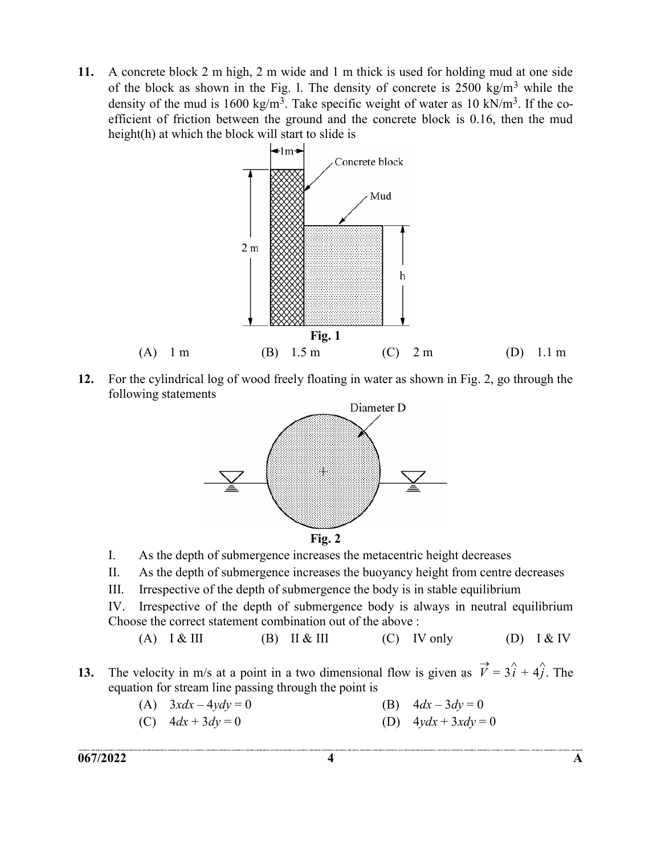11. A concrete block 2 m high, 2 m wide and 1 m thick is used for holding mud at one side of the block as shown in the Fig. 1. The density of concrete is  $2500 \text{ kg/m}^3$  while the density of the mud is 1600 kg/m<sup>3</sup>. Take specific weight of water as 10 kN/m<sup>3</sup>. If the coefficient of friction between the ground and the concrete block is 0.16, then the mud height(h) at which the block will start to slide is



12. For the cylindrical log of wood freely floating in water as shown in Fig. 2, go through the following statements



- I. As the depth of submergence increases the metacentric height decreases
- II. As the depth of submergence increases the buoyancy height from centre decreases
- III. Irrespective of the depth of submergence the body is in stable equilibrium

 IV. Irrespective of the depth of submergence body is always in neutral equilibrium Choose the correct statement combination out of the above :

- (A)  $I & III$  (B)  $II & III$  (C) IV only (D)  $I & IV$
- 13. The velocity in m/s at a point in a two dimensional flow is given as  $\vec{V} = 3\hat{i} + 4\hat{j}$ . The equation for stream line passing through the point is
	- (A)  $3xdx 4ydy = 0$  (B)  $4dx 3dy = 0$
	- (C)  $4dx + 3dy = 0$  (D)  $4ydx + 3xdy = 0$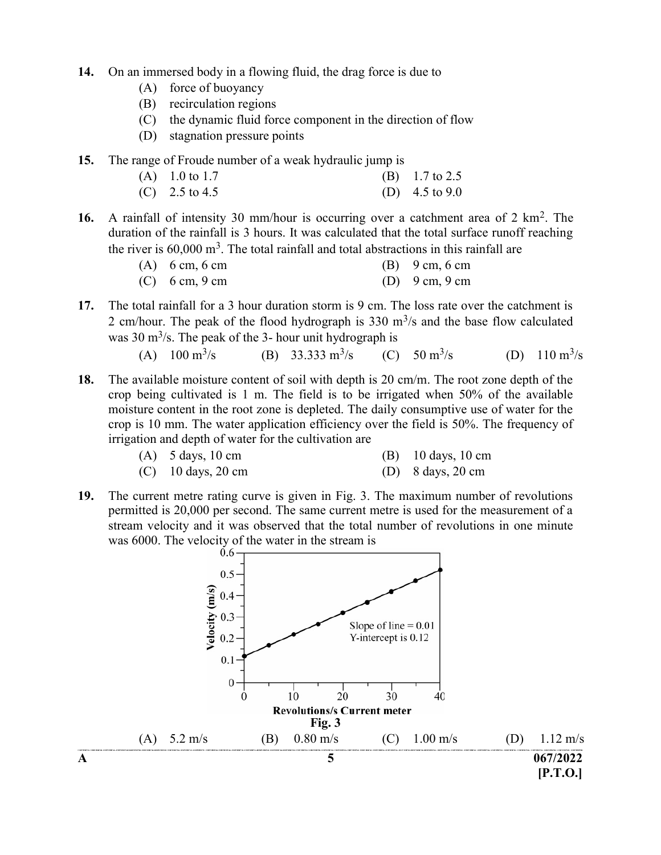- 14. On an immersed body in a flowing fluid, the drag force is due to
	- (A) force of buoyancy
	- (B) recirculation regions
	- (C) the dynamic fluid force component in the direction of flow
	- (D) stagnation pressure points
- 15. The range of Froude number of a weak hydraulic jump is
	- (A) 1.0 to 1.7 (B) 1.7 to 2.5
	- (C)  $2.5 \text{ to } 4.5$  (D)  $4.5 \text{ to } 9.0$
- 16. A rainfall of intensity 30 mm/hour is occurring over a catchment area of 2 km<sup>2</sup>. The duration of the rainfall is 3 hours. It was calculated that the total surface runoff reaching the river is  $60,000 \text{ m}^3$ . The total rainfall and total abstractions in this rainfall are

| $(A)$ 6 cm, 6 cm                 | (B) $9 \text{ cm}, 6 \text{ cm}$ |
|----------------------------------|----------------------------------|
| (C) $6 \text{ cm}, 9 \text{ cm}$ | (D) $9 \text{ cm}, 9 \text{ cm}$ |

17. The total rainfall for a 3 hour duration storm is 9 cm. The loss rate over the catchment is 2 cm/hour. The peak of the flood hydrograph is  $330 \text{ m}^3$ /s and the base flow calculated was  $30 \text{ m}^3$ /s. The peak of the 3- hour unit hydrograph is

(A) 
$$
100 \text{ m}^3\text{/s}
$$
 (B)  $33.333 \text{ m}^3\text{/s}$  (C)  $50 \text{ m}^3\text{/s}$  (D)  $110 \text{ m}^3\text{/s}$ 

18. The available moisture content of soil with depth is 20 cm/m. The root zone depth of the crop being cultivated is 1 m. The field is to be irrigated when 50% of the available moisture content in the root zone is depleted. The daily consumptive use of water for the crop is 10 mm. The water application efficiency over the field is 50%. The frequency of irrigation and depth of water for the cultivation are

| $(A)$ 5 days, 10 cm |  | $(B)$ 10 days, 10 cm |
|---------------------|--|----------------------|
|---------------------|--|----------------------|

- (C) 10 days, 20 cm (D) 8 days, 20 cm
- 19. The current metre rating curve is given in Fig. 3. The maximum number of revolutions permitted is 20,000 per second. The same current metre is used for the measurement of a stream velocity and it was observed that the total number of revolutions in one minute was 6000. The velocity of the water in the stream is  $0.6 -$

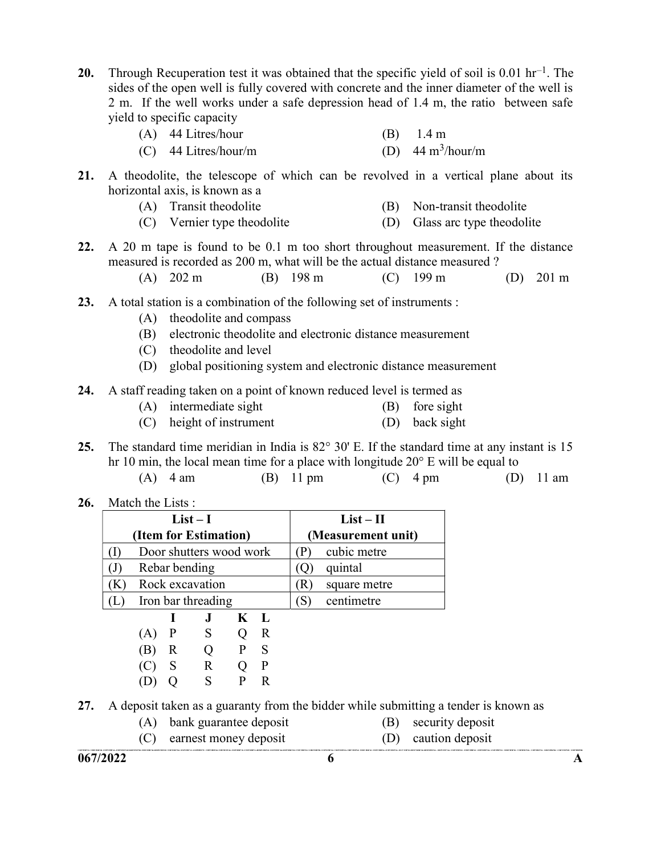20. Through Recuperation test it was obtained that the specific yield of soil is 0.01 hr<sup>-1</sup>. The sides of the open well is fully covered with concrete and the inner diameter of the well is 2 m. If the well works under a safe depression head of 1.4 m, the ratio between safe yield to specific capacity

| $(A)$ 44 Litres/hour   | $(B)$ 1.4 m                        |
|------------------------|------------------------------------|
| $(C)$ 44 Litres/hour/m | (D) $44 \text{ m}^3/\text{hour/m}$ |

- 21. A theodolite, the telescope of which can be revolved in a vertical plane about its horizontal axis, is known as a
	- (A) Transit theodolite (B) Non-transit theodolite
	- (C) Vernier type theodolite (D) Glass arc type theodolite
- 22. A 20 m tape is found to be 0.1 m too short throughout measurement. If the distance measured is recorded as 200 m, what will be the actual distance measured ?
	- (A) 202 m (B) 198 m (C) 199 m (D) 201 m
- 23. A total station is a combination of the following set of instruments :
	- (A) theodolite and compass
	- (B) electronic theodolite and electronic distance measurement
	- (C) theodolite and level
	- (D) global positioning system and electronic distance measurement

#### 24. A staff reading taken on a point of known reduced level is termed as

- (A) intermediate sight (B) fore sight
- (C) height of instrument (D) back sight
- 25. The standard time meridian in India is 82° 30' E. If the standard time at any instant is 15 hr 10 min, the local mean time for a place with longitude 20° E will be equal to

| $(A)$ 4 am | $(B)$ 11 pm | $(C)$ 4 pm | $(D)$ 11 am |
|------------|-------------|------------|-------------|
|------------|-------------|------------|-------------|

26. Match the Lists :

|     |              | $List-I$                |       |   | $List-II$ |                    |  |  |
|-----|--------------|-------------------------|-------|---|-----------|--------------------|--|--|
|     |              | (Item for Estimation)   |       |   |           | (Measurement unit) |  |  |
|     |              | Door shutters wood work |       |   |           | cubic metre        |  |  |
|     |              | Rebar bending           |       |   | quintal   |                    |  |  |
|     |              | Rock excavation         |       |   | R)        | square metre       |  |  |
|     |              | Iron bar threading      |       |   | `S)       | centimetre         |  |  |
|     |              | J.                      | $K$ L |   |           |                    |  |  |
| (A) | $\mathbf{P}$ | S                       |       | R |           |                    |  |  |
| (B) | R            | $\theta$                |       | S |           |                    |  |  |
|     |              | R                       |       |   |           |                    |  |  |

(D) Q S P R

27. A deposit taken as a guaranty from the bidder while submitting a tender is known as

- (A) bank guarantee deposit (B) security deposit
- (C) earnest money deposit (D) caution deposit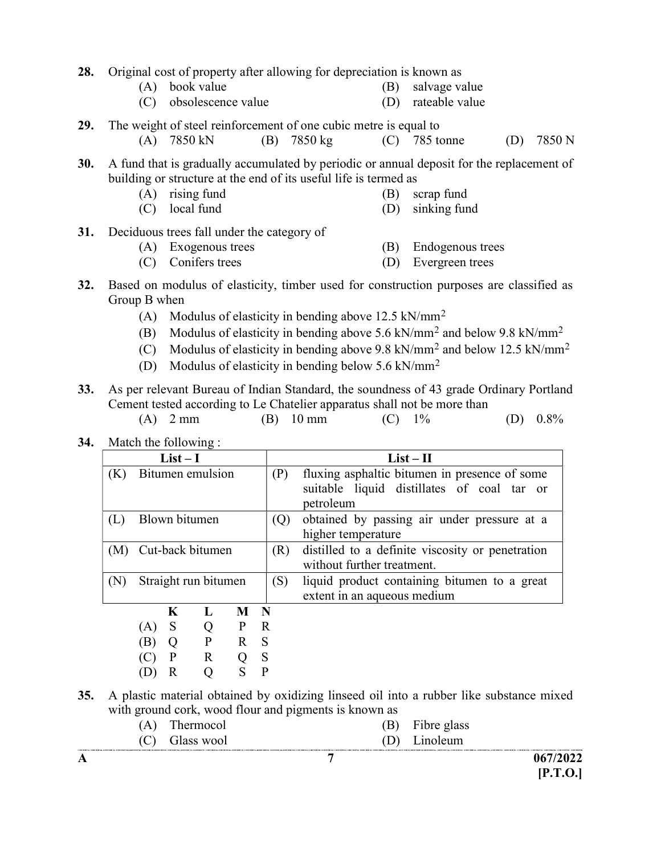- 28. Original cost of property after allowing for depreciation is known as
	- (A) book value (B) salvage value
	- (C) obsolescence value (D) rateable value

29. The weight of steel reinforcement of one cubic metre is equal to

(A) 7850 kN (B) 7850 kg (C) 785 tonne (D) 7850 N

30. A fund that is gradually accumulated by periodic or annual deposit for the replacement of building or structure at the end of its useful life is termed as

- (A) rising fund (B) scrap fund
- (C) local fund (D) sinking fund
- 31. Deciduous trees fall under the category of
	- (A) Exogenous trees (B) Endogenous trees
	- (C) Conifers trees (D) Evergreen trees
- 32. Based on modulus of elasticity, timber used for construction purposes are classified as Group B when
	- (A) Modulus of elasticity in bending above  $12.5 \text{ kN/mm}^2$
- (B) Modulus of elasticity in bending above 5.6 kN/mm<sup>2</sup> and below 9.8 kN/mm<sup>2</sup>
- (C) Modulus of elasticity in bending above 9.8 kN/mm<sup>2</sup> and below 12.5 kN/mm<sup>2</sup>
	- (D) Modulus of elasticity in bending below  $5.6 \text{ kN/mm}^2$
- 33. As per relevant Bureau of Indian Standard, the soundness of 43 grade Ordinary Portland Cement tested according to Le Chatelier apparatus shall not be more than
	- (A) 2 mm (B) 10 mm (C) 1% (D) 0.8%
- 34. Match the following :

| $List-I$                                     |     |   |                  |     |              | $List-II$                                                                                                |  |  |  |
|----------------------------------------------|-----|---|------------------|-----|--------------|----------------------------------------------------------------------------------------------------------|--|--|--|
| Bitumen emulsion<br>(P)<br>(K)               |     |   |                  |     |              | fluxing asphaltic bitumen in presence of some<br>suitable liquid distillates of coal tar or<br>petroleum |  |  |  |
| Blown bitumen<br>(L)                         |     |   |                  |     |              | obtained by passing air under pressure at a<br>higher temperature                                        |  |  |  |
| (M)                                          |     |   | Cut-back bitumen |     | (R)          | distilled to a definite viscosity or penetration<br>without further treatment.                           |  |  |  |
| Straight run bitumen<br>(N)                  |     |   |                  |     | (S)          | liquid product containing bitumen to a great<br>extent in an aqueous medium                              |  |  |  |
|                                              |     | K | L                | M N |              |                                                                                                          |  |  |  |
|                                              | (A) | S | Q                | P   | $\mathbb{R}$ |                                                                                                          |  |  |  |
|                                              | (B) | Q | P                | R S |              |                                                                                                          |  |  |  |
| $\mathbf R$<br>$\mathbf{P}$<br>S<br>(C)<br>Q |     |   |                  |     |              |                                                                                                          |  |  |  |
|                                              |     | R | ∩                | S   | $\mathbf{P}$ |                                                                                                          |  |  |  |

- 35. A plastic material obtained by oxidizing linseed oil into a rubber like substance mixed with ground cork, wood flour and pigments is known as
	- (A) Thermocol (B) Fibre glass (C) Glass wool (D) Linoleum
-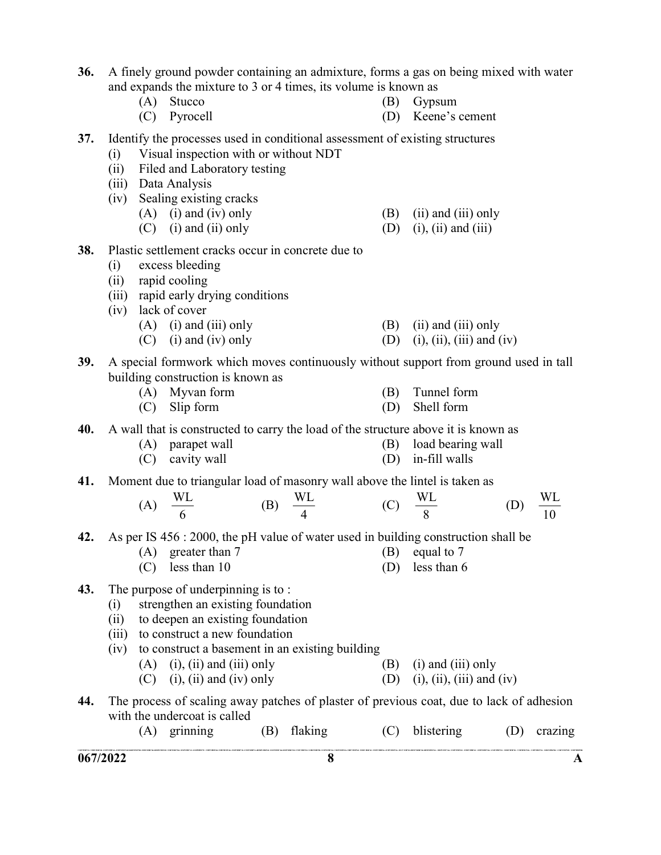and expands the mixture to 3 or 4 times, its volume is known as (A) Stucco (B) Gypsum (C) Pyrocell (D) Keene's cement 37. Identify the processes used in conditional assessment of existing structures (i) Visual inspection with or without NDT (ii) Filed and Laboratory testing (iii) Data Analysis (iv) Sealing existing cracks (A) (i) and (iv) only  $(B)$  (ii) and (iii) only (C) (i) and (ii) only (D) (i), (ii) and (iii) 38. Plastic settlement cracks occur in concrete due to (i) excess bleeding (ii) rapid cooling (iii) rapid early drying conditions (iv) lack of cover (A) (i) and (iii) only  $(B)$  (ii) and (iii) only (C) (i) and (iv) only (D) (i), (ii), (iii) and (iv) 39. A special formwork which moves continuously without support from ground used in tall building construction is known as (A) Myvan form (B) Tunnel form (C) Slip form (D) Shell form 40. A wall that is constructed to carry the load of the structure above it is known as (A) parapet wall (B) load bearing wall (C) cavity wall (D) in-fill walls 41. Moment due to triangular load of masonry wall above the lintel is taken as (A) 6  $\frac{\text{WL}}{\text{}}$  (B) 4  $\frac{WL}{A}$  (C) 8  $\frac{WL}{2}$  (D) 10 WL 42. As per IS 456 : 2000, the pH value of water used in building construction shall be (A) greater than 7 (B) equal to 7 (C) less than 10 (D) less than 6 43. The purpose of underpinning is to : (i) strengthen an existing foundation (ii) to deepen an existing foundation (iii) to construct a new foundation (iv) to construct a basement in an existing building (A) (i), (ii) and (iii) only (B) (i) and (iii) only

36. A finely ground powder containing an admixture, forms a gas on being mixed with water

- (C) (i), (ii) and (iv) only (D) (i), (iii) and (iv)
- 44. The process of scaling away patches of plaster of previous coat, due to lack of adhesion with the undercoat is called
	- (A) grinning (B) flaking (C) blistering (D) crazing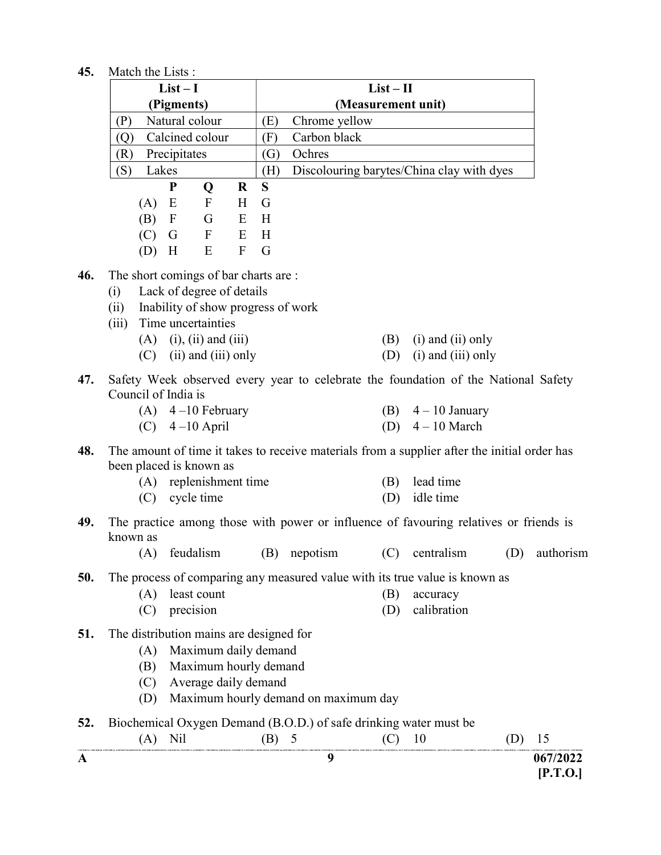| 45. | Match the Lists: |  |
|-----|------------------|--|
|     |                  |  |

|     |                                         | $List-I$     |                                    |                  |                    | $List - II$                          |     |                                                                                              |     |                      |
|-----|-----------------------------------------|--------------|------------------------------------|------------------|--------------------|--------------------------------------|-----|----------------------------------------------------------------------------------------------|-----|----------------------|
|     |                                         | (Pigments)   |                                    |                  | (Measurement unit) |                                      |     |                                                                                              |     |                      |
|     | (P)                                     |              | Natural colour                     |                  | (E)                | Chrome yellow                        |     |                                                                                              |     |                      |
|     | (Q)                                     |              | Calcined colour                    |                  | (F)                | Carbon black                         |     |                                                                                              |     |                      |
|     | (R)                                     | Precipitates |                                    |                  | (G)                | Ochres                               |     |                                                                                              |     |                      |
|     | (S)                                     | Lakes        |                                    |                  | (H)                |                                      |     | Discolouring barytes/China clay with dyes                                                    |     |                      |
|     |                                         | ${\bf P}$    | Q                                  | $\bf R$          | S                  |                                      |     |                                                                                              |     |                      |
|     | (A)                                     | E            | $\mathbf{F}$                       | H                | G                  |                                      |     |                                                                                              |     |                      |
|     | (B)                                     | $\mathbf{F}$ | G                                  | E                | H                  |                                      |     |                                                                                              |     |                      |
|     | (C)                                     | G            | $\mathbf F$                        | E                | H                  |                                      |     |                                                                                              |     |                      |
|     | (D)                                     | H            | E                                  | $\boldsymbol{F}$ | G                  |                                      |     |                                                                                              |     |                      |
| 46. | The short comings of bar charts are :   |              |                                    |                  |                    |                                      |     |                                                                                              |     |                      |
|     | (i)                                     |              | Lack of degree of details          |                  |                    |                                      |     |                                                                                              |     |                      |
|     | (ii)                                    |              | Inability of show progress of work |                  |                    |                                      |     |                                                                                              |     |                      |
|     | (iii)                                   |              | Time uncertainties                 |                  |                    |                                      |     |                                                                                              |     |                      |
|     |                                         |              | $(A)$ (i), (ii) and (iii)          |                  |                    |                                      | (B) | $(i)$ and $(ii)$ only                                                                        |     |                      |
|     | (C)                                     |              | $(ii)$ and $(iii)$ only            |                  |                    |                                      | (D) | $(i)$ and $(iii)$ only                                                                       |     |                      |
|     |                                         |              |                                    |                  |                    |                                      |     |                                                                                              |     |                      |
| 47. | Council of India is                     |              |                                    |                  |                    |                                      |     | Safety Week observed every year to celebrate the foundation of the National Safety           |     |                      |
|     |                                         |              |                                    |                  |                    |                                      |     |                                                                                              |     |                      |
|     |                                         |              | (A) $4-10$ February                |                  |                    |                                      | (D) | (B) $4-10$ January<br>$4 - 10$ March                                                         |     |                      |
|     |                                         |              | (C) $4-10$ April                   |                  |                    |                                      |     |                                                                                              |     |                      |
| 48. |                                         |              |                                    |                  |                    |                                      |     | The amount of time it takes to receive materials from a supplier after the initial order has |     |                      |
|     | been placed is known as                 |              |                                    |                  |                    |                                      |     |                                                                                              |     |                      |
|     |                                         |              | (A) replenishment time             |                  |                    |                                      | (B) | lead time                                                                                    |     |                      |
|     | (C)                                     |              | cycle time                         |                  |                    |                                      | (D) | idle time                                                                                    |     |                      |
| 49. |                                         |              |                                    |                  |                    |                                      |     | The practice among those with power or influence of favouring relatives or friends is        |     |                      |
|     | known as                                |              |                                    |                  |                    |                                      |     |                                                                                              |     |                      |
|     | (A)                                     |              | feudalism                          |                  |                    | (B) nepotism                         |     | $(C)$ centralism                                                                             | (D) | authorism            |
| 50. |                                         |              |                                    |                  |                    |                                      |     |                                                                                              |     |                      |
|     |                                         |              | least count                        |                  |                    |                                      |     | The process of comparing any measured value with its true value is known as                  |     |                      |
|     | (A)                                     |              |                                    |                  |                    |                                      | (B) | accuracy                                                                                     |     |                      |
|     | (C)                                     |              | precision                          |                  |                    |                                      | (D) | calibration                                                                                  |     |                      |
| 51. | The distribution mains are designed for |              |                                    |                  |                    |                                      |     |                                                                                              |     |                      |
|     | (A)                                     |              | Maximum daily demand               |                  |                    |                                      |     |                                                                                              |     |                      |
|     | (B)                                     |              | Maximum hourly demand              |                  |                    |                                      |     |                                                                                              |     |                      |
|     | (C)                                     |              | Average daily demand               |                  |                    |                                      |     |                                                                                              |     |                      |
|     | (D)                                     |              |                                    |                  |                    | Maximum hourly demand on maximum day |     |                                                                                              |     |                      |
| 52. |                                         |              |                                    |                  |                    |                                      |     | Biochemical Oxygen Demand (B.O.D.) of safe drinking water must be                            |     |                      |
|     |                                         | $(A)$ Nil    |                                    |                  | (B) 5              |                                      | (C) | 10                                                                                           | (D) | 15                   |
|     |                                         |              |                                    |                  |                    | 9                                    |     |                                                                                              |     |                      |
| A   |                                         |              |                                    |                  |                    |                                      |     |                                                                                              |     | 067/2022<br>[P.T.O.] |
|     |                                         |              |                                    |                  |                    |                                      |     |                                                                                              |     |                      |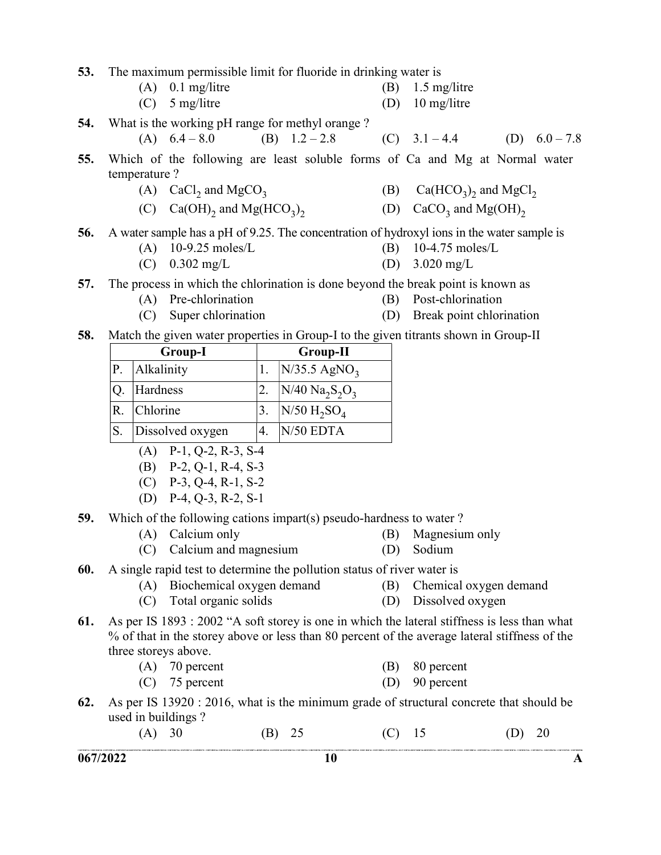53. The maximum permissible limit for fluoride in drinking water is

| $(A)$ 0.1 mg/litre |  | $(B)$ 1.5 mg/litre |
|--------------------|--|--------------------|
|--------------------|--|--------------------|

(C) 5 mg/litre (D) 10 mg/litre

54. What is the working pH range for methyl orange ?

- (A)  $6.4 8.0$  (B)  $1.2 2.8$  (C)  $3.1 4.4$  (D)  $6.0 7.8$
- 55. Which of the following are least soluble forms of Ca and Mg at Normal water temperature ?
- (A)  $CaCl<sub>2</sub>$  and  $MgCO<sub>3</sub>$ (B)  $Ca(HCO<sub>3</sub>)<sub>2</sub>$  and  $MgCl<sub>2</sub>$
- (C)  $Ca(OH)_2$  and  $Mg(HCO_3)_2$ (D)  $CaCO<sub>3</sub>$  and  $Mg(OH)<sub>2</sub>$

#### 56. A water sample has a pH of 9.25. The concentration of hydroxyl ions in the water sample is

- (A) 10-9.25 moles/L (B) 10-4.75 moles/L
- (C)  $0.302 \text{ mg/L}$  (D)  $3.020 \text{ mg/L}$
- 57. The process in which the chlorination is done beyond the break point is known as
	- (A) Pre-chlorination (B) Post-chlorination
	- (C) Super chlorination (D) Break point chlorination

#### 58. Match the given water properties in Group-I to the given titrants shown in Group-II

|               | <b>Group-I</b>   | <b>Group-II</b> |                            |  |
|---------------|------------------|-----------------|----------------------------|--|
| $ P_{\cdot} $ | Alkalinity       |                 | $N/35.5$ AgNO <sub>3</sub> |  |
|               | Hardness         |                 | $ N/40 N_{a_2}S_2O_3 $     |  |
| R.            | Chlorine         |                 | $N/50 H_2SO_4$             |  |
|               | Dissolved oxygen |                 | $N/50$ EDTA                |  |

- (A) P-1, Q-2, R-3, S-4
- (B) P-2, Q-1, R-4, S-3
- (C) P-3, Q-4, R-1, S-2
- (D) P-4, Q-3, R-2, S-1
- 59. Which of the following cations impart(s) pseudo-hardness to water ?
	- (A) Calcium only (B) Magnesium only
	- (C) Calcium and magnesium (D) Sodium
- -
- 
- 60. A single rapid test to determine the pollution status of river water is
	- (A) Biochemical oxygen demand (B) Chemical oxygen demand
	- (C) Total organic solids (D) Dissolved oxygen
- 61. As per IS 1893 : 2002 "A soft storey is one in which the lateral stiffness is less than what % of that in the storey above or less than 80 percent of the average lateral stiffness of the three storeys above.
	- (A) 70 percent (B) 80 percent
	- (C) 75 percent (D) 90 percent
- 62. As per IS 13920 : 2016, what is the minimum grade of structural concrete that should be used in buildings ?

| (A) 30 | (B) 25 | $(C)$ 15 | (D) 20 |
|--------|--------|----------|--------|
|        |        |          |        |

 $067/2022$  A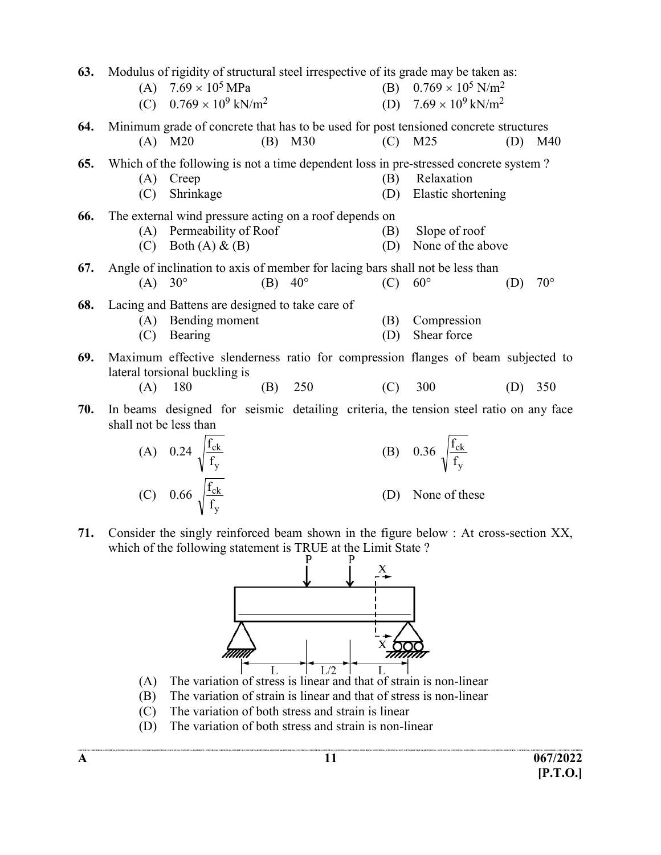| 63. |                        | Modulus of rigidity of structural steel irrespective of its grade may be taken as:<br>(A) $7.69 \times 10^5$ MPa<br>(C) $0.769 \times 10^9$ kN/m <sup>2</sup> |     |           |            |                                        | (B) $0.769 \times 10^5$ N/m <sup>2</sup><br>(D) $7.69 \times 10^9$ kN/m <sup>2</sup> |     |              |
|-----|------------------------|---------------------------------------------------------------------------------------------------------------------------------------------------------------|-----|-----------|------------|----------------------------------------|--------------------------------------------------------------------------------------|-----|--------------|
| 64. |                        | Minimum grade of concrete that has to be used for post tensioned concrete structures<br>$(A)$ M20                                                             | (B) | M30       | (C)        | M <sub>25</sub>                        |                                                                                      | (D) | M40          |
| 65. | (A)<br>(C)             | Which of the following is not a time dependent loss in pre-stressed concrete system?<br>Creep<br>Shrinkage                                                    |     |           | (B)<br>(D) | Relaxation                             | Elastic shortening                                                                   |     |              |
| 66. | (C)                    | The external wind pressure acting on a roof depends on<br>(A) Permeability of Roof<br>Both $(A)$ & $(B)$                                                      |     |           | (B)<br>(D) |                                        | Slope of roof<br>None of the above                                                   |     |              |
| 67. | $(A) 30^{\circ}$       | Angle of inclination to axis of member for lacing bars shall not be less than                                                                                 |     | $(B)$ 40° | (C)        | $60^{\circ}$                           |                                                                                      | (D) | $70^{\circ}$ |
| 68. |                        | Lacing and Battens are designed to take care of<br>(A) Bending moment<br>(C) Bearing                                                                          |     |           | (B)<br>(D) | Shear force                            | Compression                                                                          |     |              |
| 69. | (A)                    | Maximum effective slenderness ratio for compression flanges of beam subjected to<br>lateral torsional buckling is<br>180                                      | (B) | 250       | (C)        | 300                                    |                                                                                      | (D) | 350          |
| 70. | shall not be less than | In beams designed for seismic detailing criteria, the tension steel ratio on any face                                                                         |     |           |            |                                        |                                                                                      |     |              |
|     |                        | (A) 0.24 $\sqrt{\frac{f_{ck}}{f_y}}$<br>(C) 0.66 $\sqrt{\frac{f_{ck}}{f_y}}$                                                                                  |     |           |            | (B) 0.36 $\sqrt{\frac{f_{ck}}{f_{v}}}$ |                                                                                      |     |              |
|     |                        |                                                                                                                                                               |     |           | (D)        |                                        | None of these                                                                        |     |              |

71. Consider the singly reinforced beam shown in the figure below : At cross-section XX, which of the following statement is TRUE at the Limit State ?



- (A) The variation of stress is linear and that of strain is non-linear
- (B) The variation of strain is linear and that of stress is non-linear
- (C) The variation of both stress and strain is linear
- (D) The variation of both stress and strain is non-linear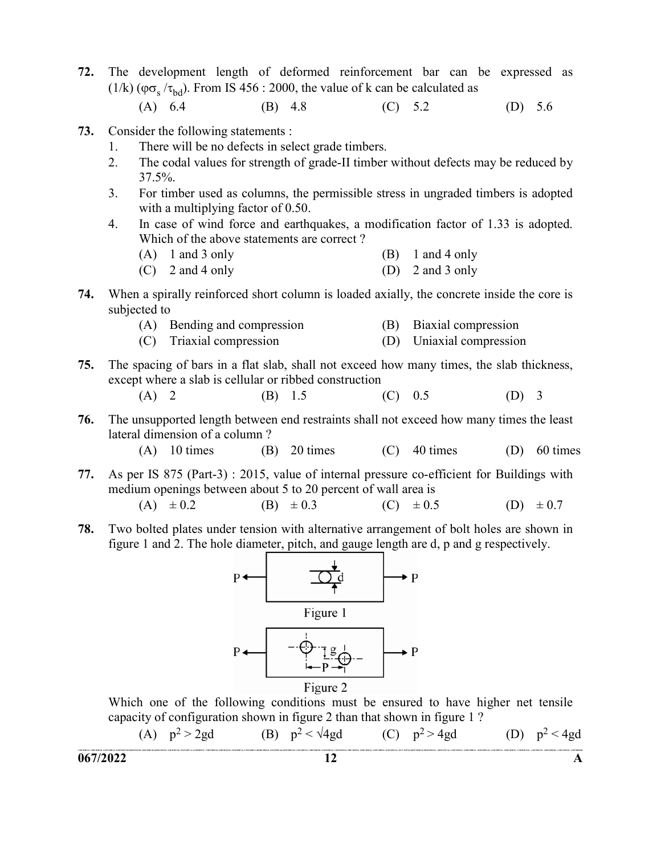72. The development length of deformed reinforcement bar can be expressed as (1/k) ( $\varphi \sigma_s / \tau_{bd}$ ). From IS 456 : 2000, the value of k can be calculated as

(A) 6.4 (B) 4.8 (C) 5.2 (D) 5.6

- 73. Consider the following statements :
	- 1. There will be no defects in select grade timbers.
	- 2. The codal values for strength of grade-II timber without defects may be reduced by 37.5%.
	- 3. For timber used as columns, the permissible stress in ungraded timbers is adopted with a multiplying factor of 0.50.
	- 4. In case of wind force and earthquakes, a modification factor of 1.33 is adopted. Which of the above statements are correct ?
		- $(A)$  1 and 3 only  $(B)$  1 and 4 only
		- $(C)$  2 and 4 only  $(D)$  2 and 3 only
- 74. When a spirally reinforced short column is loaded axially, the concrete inside the core is subjected to
	- (A) Bending and compression (B) Biaxial compression
	- (C) Triaxial compression (D) Uniaxial compression
- 75. The spacing of bars in a flat slab, shall not exceed how many times, the slab thickness, except where a slab is cellular or ribbed construction
- (A) 2 (B) 1.5 (C) 0.5 (D) 3
- 76. The unsupported length between end restraints shall not exceed how many times the least lateral dimension of a column ?
	- (A)  $10 \text{ times}$  (B)  $20 \text{ times}$  (C)  $40 \text{ times}$  (D)  $60 \text{ times}$
- 77. As per IS 875 (Part-3) : 2015, value of internal pressure co-efficient for Buildings with medium openings between about 5 to 20 percent of wall area is

(A) 
$$
\pm 0.2
$$
 (B)  $\pm 0.3$  (C)  $\pm 0.5$  (D)  $\pm 0.7$ 

78. Two bolted plates under tension with alternative arrangement of bolt holes are shown in figure 1 and 2. The hole diameter, pitch, and gauge length are d, p and g respectively.



 Which one of the following conditions must be ensured to have higher net tensile capacity of configuration shown in figure 2 than that shown in figure 1 ?

(A) 
$$
p^2 > 2gd
$$
 (B)  $p^2 < \sqrt{4gd}$  (C)  $p^2 > 4gd$  (D)  $p^2 < 4gd$   
067/2022 12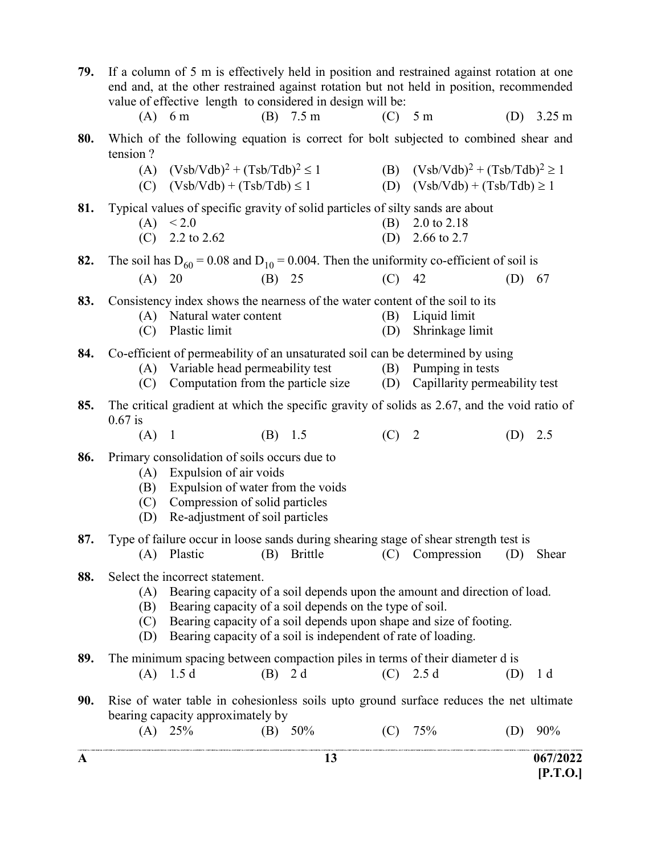| A   |                                                                                                                                                                                                                                                                                                                                            |                                                                                                                                                                                  |           | 13                  |            |                                                                                                                                                                                      |     | 067/2022<br>[P.T.O.] |  |
|-----|--------------------------------------------------------------------------------------------------------------------------------------------------------------------------------------------------------------------------------------------------------------------------------------------------------------------------------------------|----------------------------------------------------------------------------------------------------------------------------------------------------------------------------------|-----------|---------------------|------------|--------------------------------------------------------------------------------------------------------------------------------------------------------------------------------------|-----|----------------------|--|
| 90. |                                                                                                                                                                                                                                                                                                                                            | bearing capacity approximately by<br>$(A)$ 25%                                                                                                                                   |           | (B) $50\%$          |            | Rise of water table in cohesionless soils upto ground surface reduces the net ultimate<br>$(C)$ 75%                                                                                  | (D) | 90%                  |  |
| 89. | (A)                                                                                                                                                                                                                                                                                                                                        | 1.5 <sub>d</sub>                                                                                                                                                                 | $(B)$ 2 d |                     |            | The minimum spacing between compaction piles in terms of their diameter d is<br>$(C)$ 2.5 d                                                                                          | (D) | 1 <sub>d</sub>       |  |
| 88. | Select the incorrect statement.<br>Bearing capacity of a soil depends upon the amount and direction of load.<br>(A)<br>Bearing capacity of a soil depends on the type of soil.<br>(B)<br>Bearing capacity of a soil depends upon shape and size of footing.<br>(C)<br>Bearing capacity of a soil is independent of rate of loading.<br>(D) |                                                                                                                                                                                  |           |                     |            |                                                                                                                                                                                      |     |                      |  |
| 87. | (A)                                                                                                                                                                                                                                                                                                                                        | Plastic                                                                                                                                                                          | (B)       | Brittle             | (C)        | Type of failure occur in loose sands during shearing stage of shear strength test is<br>Compression                                                                                  | (D) | Shear                |  |
| 86. | (A)<br>(B)<br>(C)<br>(D)                                                                                                                                                                                                                                                                                                                   | Primary consolidation of soils occurs due to<br>Expulsion of air voids<br>Expulsion of water from the voids<br>Compression of solid particles<br>Re-adjustment of soil particles |           |                     |            |                                                                                                                                                                                      |     |                      |  |
| 85. | $0.67$ is<br>(A)                                                                                                                                                                                                                                                                                                                           | $\mathbf{1}$                                                                                                                                                                     | $(B)$ 1.5 |                     | $(C)$ 2    | The critical gradient at which the specific gravity of solids as 2.67, and the void ratio of                                                                                         | (D) | 2.5                  |  |
| 84. | (C)                                                                                                                                                                                                                                                                                                                                        | (A) Variable head permeability test<br>Computation from the particle size                                                                                                        |           |                     | (B)<br>(D) | Co-efficient of permeability of an unsaturated soil can be determined by using<br>Pumping in tests<br>Capillarity permeability test                                                  |     |                      |  |
| 83. | (C)                                                                                                                                                                                                                                                                                                                                        | (A) Natural water content<br>Plastic limit                                                                                                                                       |           |                     | (B)<br>(D) | Consistency index shows the nearness of the water content of the soil to its<br>Liquid limit<br>Shrinkage limit                                                                      |     |                      |  |
| 82. | (A)                                                                                                                                                                                                                                                                                                                                        | 20                                                                                                                                                                               | (B) 25    |                     | (C)        | The soil has $D_{60} = 0.08$ and $D_{10} = 0.004$ . Then the uniformity co-efficient of soil is<br>42                                                                                | (D) | 67                   |  |
| 81. |                                                                                                                                                                                                                                                                                                                                            | Typical values of specific gravity of solid particles of silty sands are about<br>(A) < 2.0<br>(C) $2.2$ to $2.62$                                                               |           |                     |            | (B) $2.0 \text{ to } 2.18$<br>(D) $2.66$ to 2.7                                                                                                                                      |     |                      |  |
| 80. | tension?                                                                                                                                                                                                                                                                                                                                   | (A) $(Vsb/Vdb)^{2} + (Tsb/Tdb)^{2} \le 1$<br>$(C)$ $(Vsb/Vdb) + (Tsb/Tdb) \le 1$                                                                                                 |           |                     |            | Which of the following equation is correct for bolt subjected to combined shear and<br>(B) $(Vsb/Vdb)^{2} + (Tsb/Tdb)^{2} \ge 1$<br>(D) $(Vsb/Vdb) + (Tsb/Tdb) \ge 1$                |     |                      |  |
| 79. |                                                                                                                                                                                                                                                                                                                                            | value of effective length to considered in design will be:<br>$(A)$ 6 m                                                                                                          |           | (B) $7.5 \text{ m}$ | $(C)$ 5 m  | If a column of 5 m is effectively held in position and restrained against rotation at one<br>end and, at the other restrained against rotation but not held in position, recommended | (D) | $3.25 \text{ m}$     |  |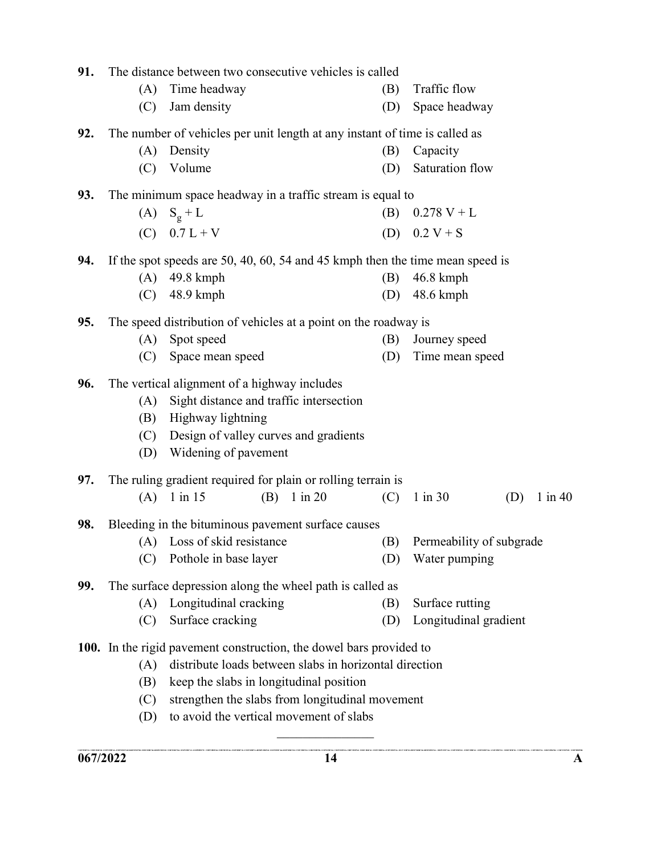| 91. | The distance between two consecutive vehicles is called                       |                                                        |             |     |                          |     |             |  |  |  |  |
|-----|-------------------------------------------------------------------------------|--------------------------------------------------------|-------------|-----|--------------------------|-----|-------------|--|--|--|--|
|     | (A)                                                                           | Time headway                                           |             | (B) | Traffic flow             |     |             |  |  |  |  |
|     | (C)                                                                           | Jam density                                            |             | (D) | Space headway            |     |             |  |  |  |  |
| 92. | The number of vehicles per unit length at any instant of time is called as    |                                                        |             |     |                          |     |             |  |  |  |  |
|     | (A)                                                                           | Density                                                |             |     | Capacity                 |     |             |  |  |  |  |
|     | (C)                                                                           | Volume                                                 |             | (D) | Saturation flow          |     |             |  |  |  |  |
| 93. | The minimum space headway in a traffic stream is equal to                     |                                                        |             |     |                          |     |             |  |  |  |  |
|     | (A)                                                                           | $S_g + L$                                              |             | (B) | $0.278 V + L$            |     |             |  |  |  |  |
|     |                                                                               | (C) $0.7 L + V$                                        |             | (D) | $0.2 V + S$              |     |             |  |  |  |  |
| 94. | If the spot speeds are 50, 40, 60, 54 and 45 kmph then the time mean speed is |                                                        |             |     |                          |     |             |  |  |  |  |
|     | (A)                                                                           | 49.8 kmph                                              |             | (B) | $46.8$ kmph              |     |             |  |  |  |  |
|     | (C)                                                                           | 48.9 kmph                                              |             | (D) | $48.6 \text{ kmph}$      |     |             |  |  |  |  |
| 95. | The speed distribution of vehicles at a point on the roadway is               |                                                        |             |     |                          |     |             |  |  |  |  |
|     | (A)                                                                           | Spot speed                                             |             | (B) | Journey speed            |     |             |  |  |  |  |
|     | (C)                                                                           | Time mean speed<br>Space mean speed<br>(D)             |             |     |                          |     |             |  |  |  |  |
| 96. | The vertical alignment of a highway includes                                  |                                                        |             |     |                          |     |             |  |  |  |  |
|     | (A)                                                                           | Sight distance and traffic intersection                |             |     |                          |     |             |  |  |  |  |
|     | (B)                                                                           | Highway lightning                                      |             |     |                          |     |             |  |  |  |  |
|     | (C)                                                                           | Design of valley curves and gradients                  |             |     |                          |     |             |  |  |  |  |
|     | (D)                                                                           | Widening of pavement                                   |             |     |                          |     |             |  |  |  |  |
| 97. | The ruling gradient required for plain or rolling terrain is                  |                                                        |             |     |                          |     |             |  |  |  |  |
|     |                                                                               | $(A)$ 1 in 15<br>(B)                                   | $1$ in $20$ | (C) | $1$ in $30$              | (D) | $1$ in $40$ |  |  |  |  |
| 98. | Bleeding in the bituminous pavement surface causes                            |                                                        |             |     |                          |     |             |  |  |  |  |
|     |                                                                               | (A) Loss of skid resistance                            |             | (B) | Permeability of subgrade |     |             |  |  |  |  |
|     | (C)                                                                           | Pothole in base layer                                  |             | (D) | Water pumping            |     |             |  |  |  |  |
| 99. | The surface depression along the wheel path is called as                      |                                                        |             |     |                          |     |             |  |  |  |  |
|     | (A)                                                                           | Longitudinal cracking                                  |             |     | Surface rutting          |     |             |  |  |  |  |
|     | (C)                                                                           | Surface cracking                                       |             | (D) | Longitudinal gradient    |     |             |  |  |  |  |
|     | 100. In the rigid pavement construction, the dowel bars provided to           |                                                        |             |     |                          |     |             |  |  |  |  |
|     | (A)                                                                           | distribute loads between slabs in horizontal direction |             |     |                          |     |             |  |  |  |  |
|     | (B)                                                                           | keep the slabs in longitudinal position                |             |     |                          |     |             |  |  |  |  |
|     | (C)                                                                           | strengthen the slabs from longitudinal movement        |             |     |                          |     |             |  |  |  |  |
|     | (D)                                                                           | to avoid the vertical movement of slabs                |             |     |                          |     |             |  |  |  |  |

 $\frac{1}{2}$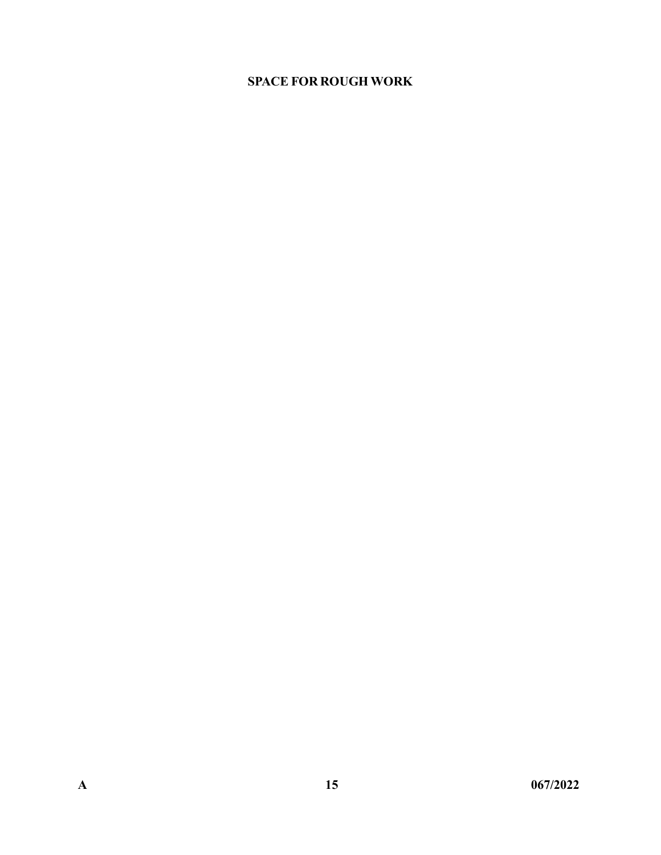## SPACE FOR ROUGH WORK